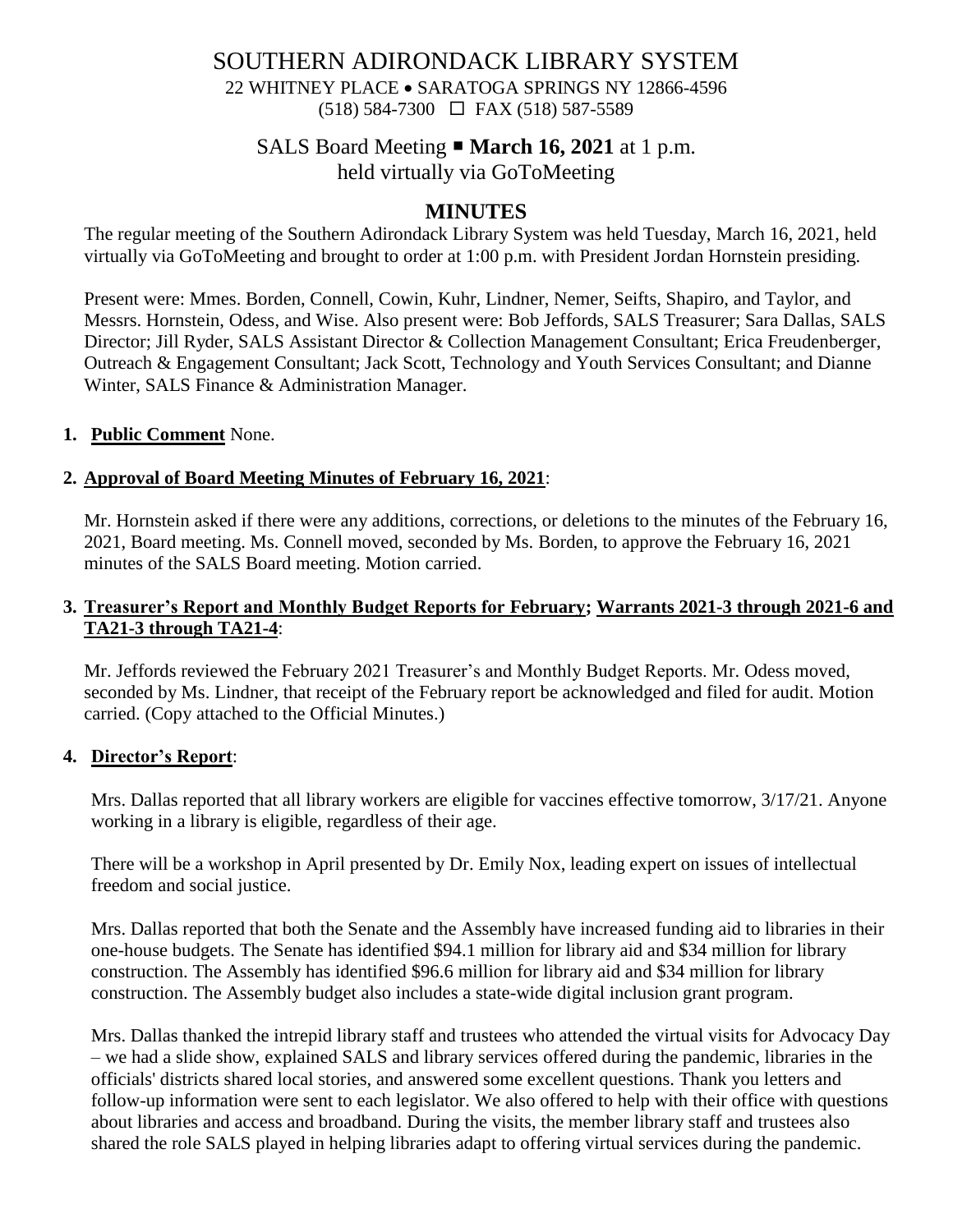# SOUTHERN ADIRONDACK LIBRARY SYSTEM 22 WHITNEY PLACE • SARATOGA SPRINGS NY 12866-4596 (518) 584-7300 FAX (518) 587-5589

# SALS Board Meeting **March 16, 2021** at 1 p.m.

held virtually via GoToMeeting

# **MINUTES**

The regular meeting of the Southern Adirondack Library System was held Tuesday, March 16, 2021, held virtually via GoToMeeting and brought to order at 1:00 p.m. with President Jordan Hornstein presiding.

Present were: Mmes. Borden, Connell, Cowin, Kuhr, Lindner, Nemer, Seifts, Shapiro, and Taylor, and Messrs. Hornstein, Odess, and Wise. Also present were: Bob Jeffords, SALS Treasurer; Sara Dallas, SALS Director; Jill Ryder, SALS Assistant Director & Collection Management Consultant; Erica Freudenberger, Outreach & Engagement Consultant; Jack Scott, Technology and Youth Services Consultant; and Dianne Winter, SALS Finance & Administration Manager.

### **1. Public Comment** None.

## **2. Approval of Board Meeting Minutes of February 16, 2021**:

Mr. Hornstein asked if there were any additions, corrections, or deletions to the minutes of the February 16, 2021, Board meeting. Ms. Connell moved, seconded by Ms. Borden, to approve the February 16, 2021 minutes of the SALS Board meeting. Motion carried.

## **3. Treasurer's Report and Monthly Budget Reports for February; Warrants 2021-3 through 2021-6 and TA21-3 through TA21-4**:

Mr. Jeffords reviewed the February 2021 Treasurer's and Monthly Budget Reports. Mr. Odess moved, seconded by Ms. Lindner, that receipt of the February report be acknowledged and filed for audit. Motion carried. (Copy attached to the Official Minutes.)

### **4. Director's Report**:

Mrs. Dallas reported that all library workers are eligible for vaccines effective tomorrow, 3/17/21. Anyone working in a library is eligible, regardless of their age.

There will be a workshop in April presented by Dr. Emily Nox, leading expert on issues of intellectual freedom and social justice.

Mrs. Dallas reported that both the Senate and the Assembly have increased funding aid to libraries in their one-house budgets. The Senate has identified \$94.1 million for library aid and \$34 million for library construction. The Assembly has identified \$96.6 million for library aid and \$34 million for library construction. The Assembly budget also includes a state-wide digital inclusion grant program.

Mrs. Dallas thanked the intrepid library staff and trustees who attended the virtual visits for Advocacy Day – we had a slide show, explained SALS and library services offered during the pandemic, libraries in the officials' districts shared local stories, and answered some excellent questions. Thank you letters and follow-up information were sent to each legislator. We also offered to help with their office with questions about libraries and access and broadband. During the visits, the member library staff and trustees also shared the role SALS played in helping libraries adapt to offering virtual services during the pandemic.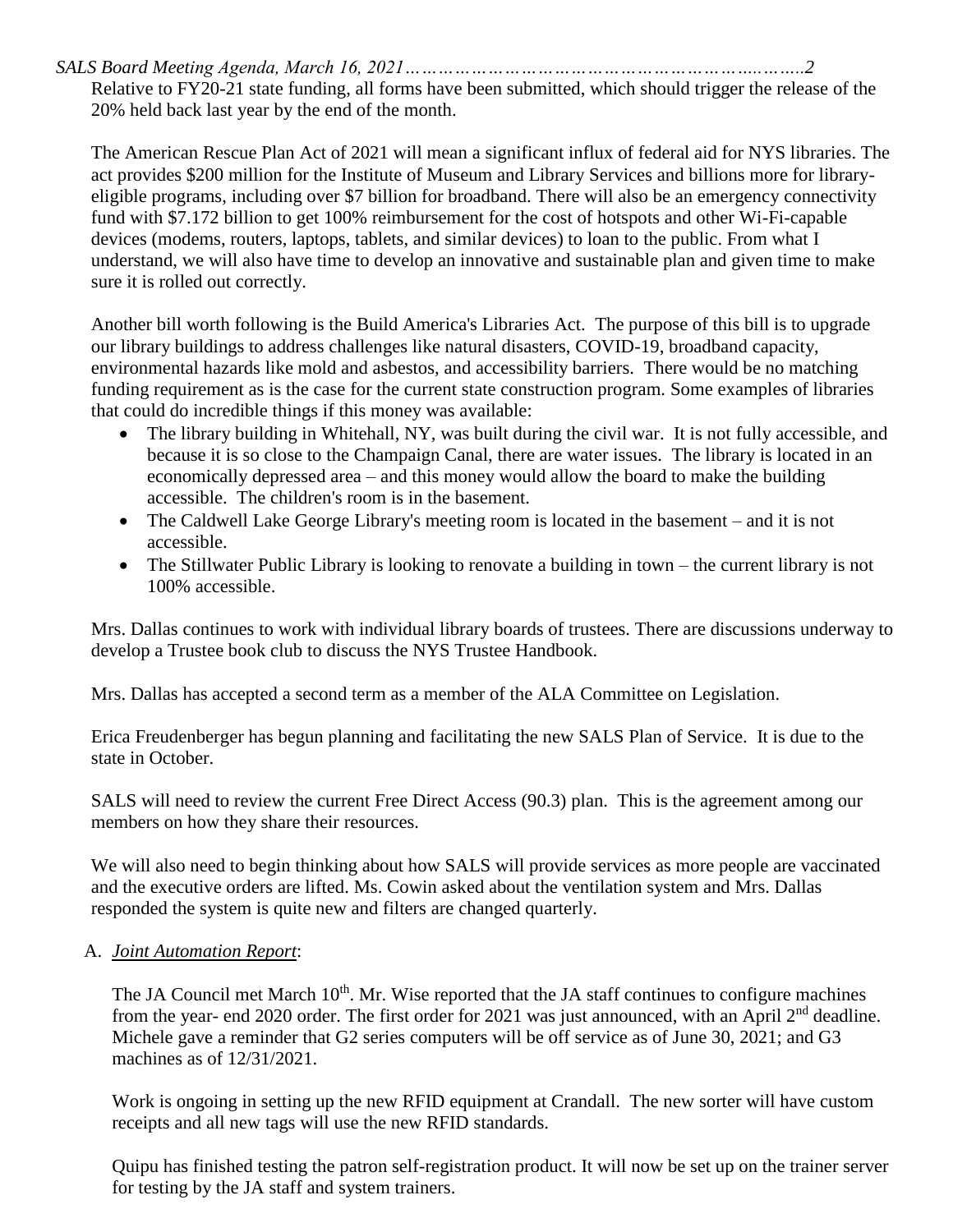*SALS Board Meeting Agenda, March 16, 2021………………………………………………………..……..2*

Relative to FY20-21 state funding, all forms have been submitted, which should trigger the release of the 20% held back last year by the end of the month.

The American Rescue Plan Act of 2021 will mean a significant influx of federal aid for NYS libraries. The act provides \$200 million for the Institute of Museum and Library Services and billions more for libraryeligible programs, including over \$7 billion for broadband. There will also be an emergency connectivity fund with \$7.172 billion to get 100% reimbursement for the cost of hotspots and other Wi-Fi-capable devices (modems, routers, laptops, tablets, and similar devices) to loan to the public. From what I understand, we will also have time to develop an innovative and sustainable plan and given time to make sure it is rolled out correctly.

Another bill worth following is the Build America's Libraries Act. The purpose of this bill is to upgrade our library buildings to address challenges like natural disasters, COVID-19, broadband capacity, environmental hazards like mold and asbestos, and accessibility barriers. There would be no matching funding requirement as is the case for the current state construction program. Some examples of libraries that could do incredible things if this money was available:

- The library building in Whitehall, NY, was built during the civil war. It is not fully accessible, and because it is so close to the Champaign Canal, there are water issues. The library is located in an economically depressed area – and this money would allow the board to make the building accessible. The children's room is in the basement.
- The Caldwell Lake George Library's meeting room is located in the basement and it is not accessible.
- The Stillwater Public Library is looking to renovate a building in town the current library is not 100% accessible.

Mrs. Dallas continues to work with individual library boards of trustees. There are discussions underway to develop a Trustee book club to discuss the NYS Trustee Handbook.

Mrs. Dallas has accepted a second term as a member of the ALA Committee on Legislation.

Erica Freudenberger has begun planning and facilitating the new SALS Plan of Service. It is due to the state in October.

SALS will need to review the current Free Direct Access (90.3) plan. This is the agreement among our members on how they share their resources.

We will also need to begin thinking about how SALS will provide services as more people are vaccinated and the executive orders are lifted. Ms. Cowin asked about the ventilation system and Mrs. Dallas responded the system is quite new and filters are changed quarterly.

## A. *Joint Automation Report*:

The JA Council met March 10<sup>th</sup>. Mr. Wise reported that the JA staff continues to configure machines from the year- end 2020 order. The first order for 2021 was just announced, with an April 2<sup>nd</sup> deadline. Michele gave a reminder that G2 series computers will be off service as of June 30, 2021; and G3 machines as of 12/31/2021.

Work is ongoing in setting up the new RFID equipment at Crandall. The new sorter will have custom receipts and all new tags will use the new RFID standards.

Quipu has finished testing the patron self-registration product. It will now be set up on the trainer server for testing by the JA staff and system trainers.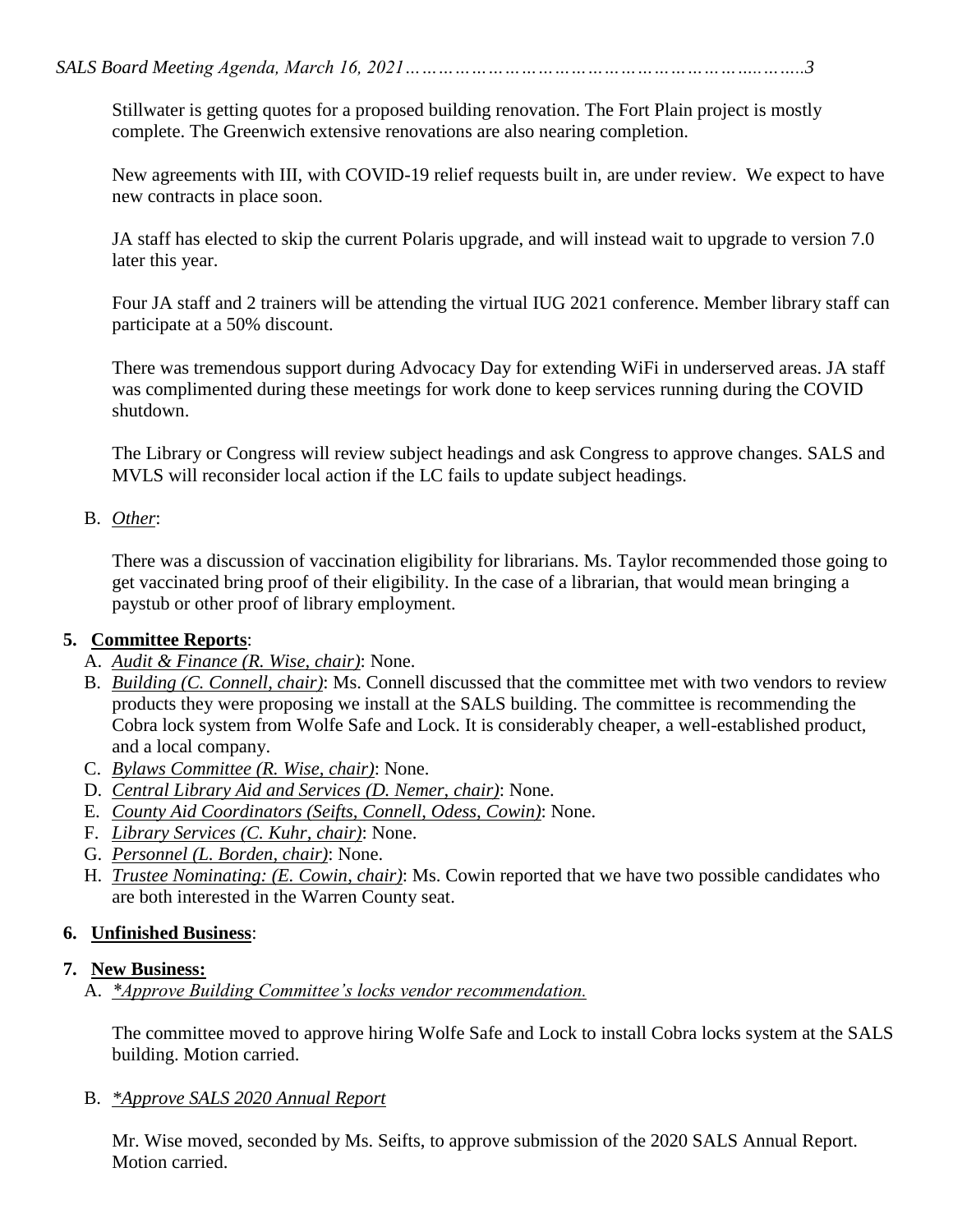Stillwater is getting quotes for a proposed building renovation. The Fort Plain project is mostly complete. The Greenwich extensive renovations are also nearing completion.

New agreements with III, with COVID-19 relief requests built in, are under review. We expect to have new contracts in place soon.

JA staff has elected to skip the current Polaris upgrade, and will instead wait to upgrade to version 7.0 later this year.

Four JA staff and 2 trainers will be attending the virtual IUG 2021 conference. Member library staff can participate at a 50% discount.

There was tremendous support during Advocacy Day for extending WiFi in underserved areas. JA staff was complimented during these meetings for work done to keep services running during the COVID shutdown.

The Library or Congress will review subject headings and ask Congress to approve changes. SALS and MVLS will reconsider local action if the LC fails to update subject headings.

# B. *Other*:

There was a discussion of vaccination eligibility for librarians. Ms. Taylor recommended those going to get vaccinated bring proof of their eligibility. In the case of a librarian, that would mean bringing a paystub or other proof of library employment.

# **5. Committee Reports**:

- A. *Audit & Finance (R. Wise, chair)*: None.
- B. *Building (C. Connell, chair)*: Ms. Connell discussed that the committee met with two vendors to review products they were proposing we install at the SALS building. The committee is recommending the Cobra lock system from Wolfe Safe and Lock. It is considerably cheaper, a well-established product, and a local company.
- C. *Bylaws Committee (R. Wise, chair)*: None.
- D. *Central Library Aid and Services (D. Nemer, chair)*: None.
- E. *County Aid Coordinators (Seifts, Connell, Odess, Cowin)*: None.
- F. *Library Services (C. Kuhr, chair)*: None.
- G. *Personnel (L. Borden, chair)*: None.
- H. *Trustee Nominating: (E. Cowin, chair)*: Ms. Cowin reported that we have two possible candidates who are both interested in the Warren County seat.

# **6. Unfinished Business**:

## **7. New Business:**

A. *\*Approve Building Committee's locks vendor recommendation.*

The committee moved to approve hiring Wolfe Safe and Lock to install Cobra locks system at the SALS building. Motion carried.

B. *\*Approve SALS 2020 Annual Report*

Mr. Wise moved, seconded by Ms. Seifts, to approve submission of the 2020 SALS Annual Report. Motion carried.